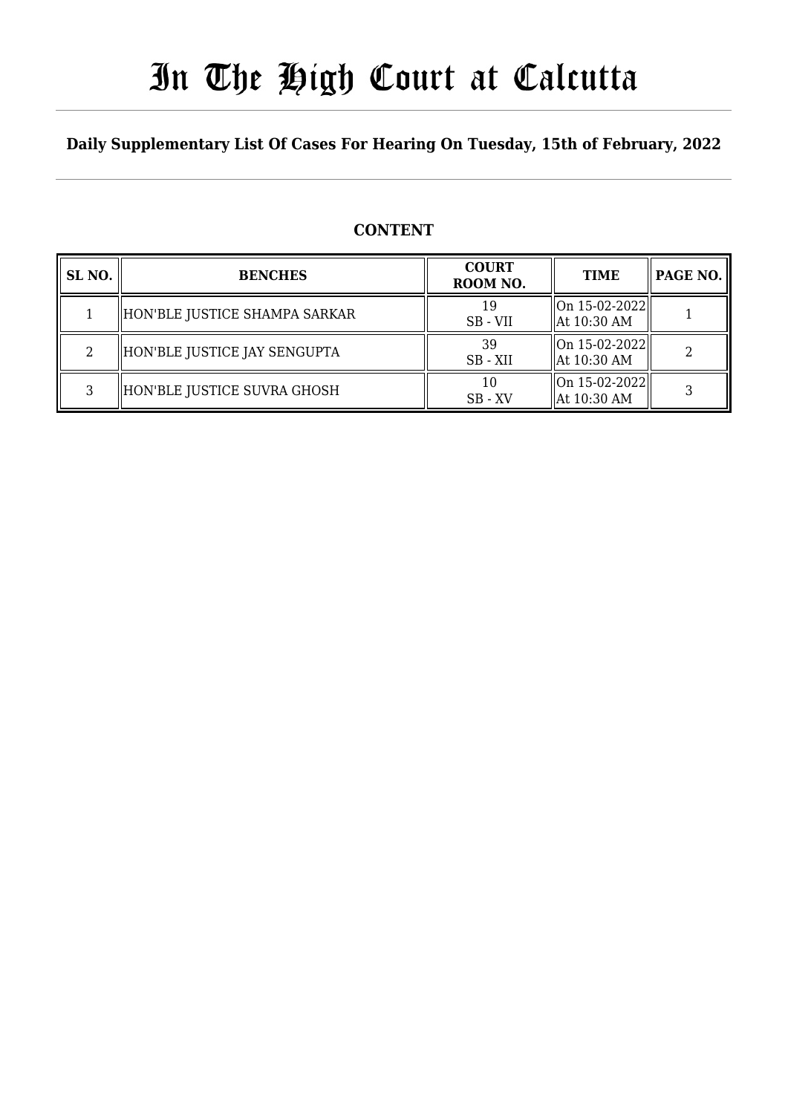# In The High Court at Calcutta

### **Daily Supplementary List Of Cases For Hearing On Tuesday, 15th of February, 2022**

### **CONTENT**

| SL <sub>NO.</sub> | <b>BENCHES</b>                | <b>COURT</b><br>ROOM NO. | <b>TIME</b>                                  | PAGE NO. |
|-------------------|-------------------------------|--------------------------|----------------------------------------------|----------|
|                   | HON'BLE JUSTICE SHAMPA SARKAR | 19<br>SB - VII           | $\vert$ On 15-02-2022 $\vert$<br>At 10:30 AM |          |
| $\overline{2}$    | HON'BLE JUSTICE JAY SENGUPTA  | 39<br>SB - XII           | On 15-02-2022  <br>At 10:30 AM               |          |
| 3                 | HON'BLE JUSTICE SUVRA GHOSH   | 10<br>$SB - XV$          | $\ $ On 15-02-2022 $\ $<br>At 10:30 AM       |          |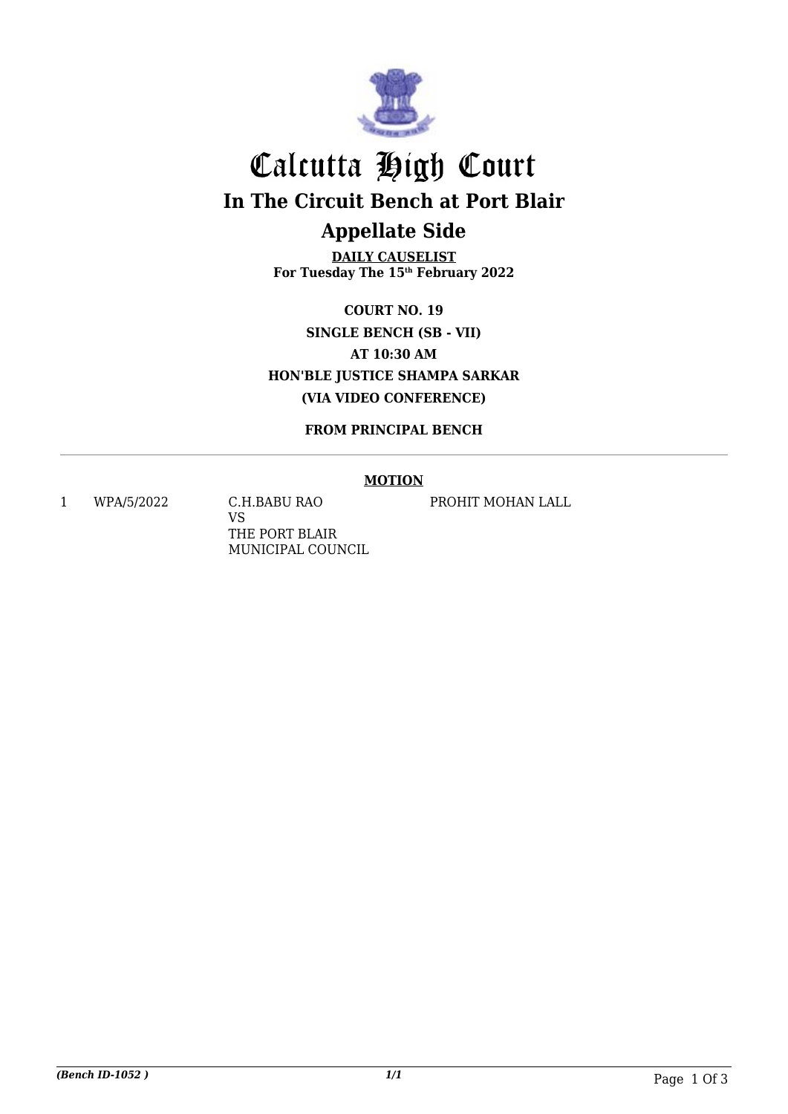

# Calcutta High Court **In The Circuit Bench at Port Blair Appellate Side**

**DAILY CAUSELIST For Tuesday The 15th February 2022**

**COURT NO. 19 SINGLE BENCH (SB - VII) AT 10:30 AM HON'BLE JUSTICE SHAMPA SARKAR (VIA VIDEO CONFERENCE)**

**FROM PRINCIPAL BENCH**

#### **MOTION**

1 WPA/5/2022 C.H.BABU RAO

VS THE PORT BLAIR MUNICIPAL COUNCIL PROHIT MOHAN LALL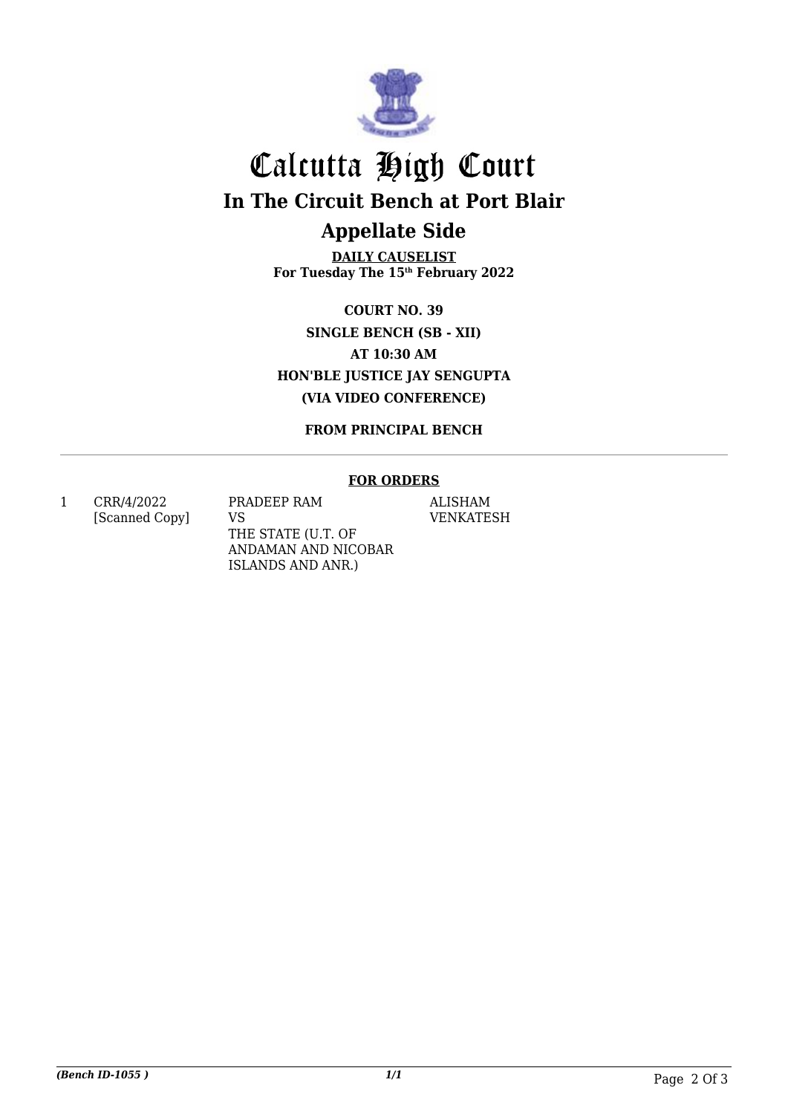

# Calcutta High Court **In The Circuit Bench at Port Blair Appellate Side**

**DAILY CAUSELIST For Tuesday The 15th February 2022**

**COURT NO. 39 SINGLE BENCH (SB - XII) AT 10:30 AM HON'BLE JUSTICE JAY SENGUPTA (VIA VIDEO CONFERENCE)**

**FROM PRINCIPAL BENCH**

#### **FOR ORDERS**

1 CRR/4/2022 [Scanned Copy] PRADEEP RAM VS THE STATE (U.T. OF ANDAMAN AND NICOBAR ISLANDS AND ANR.)

ALISHAM VENKATESH